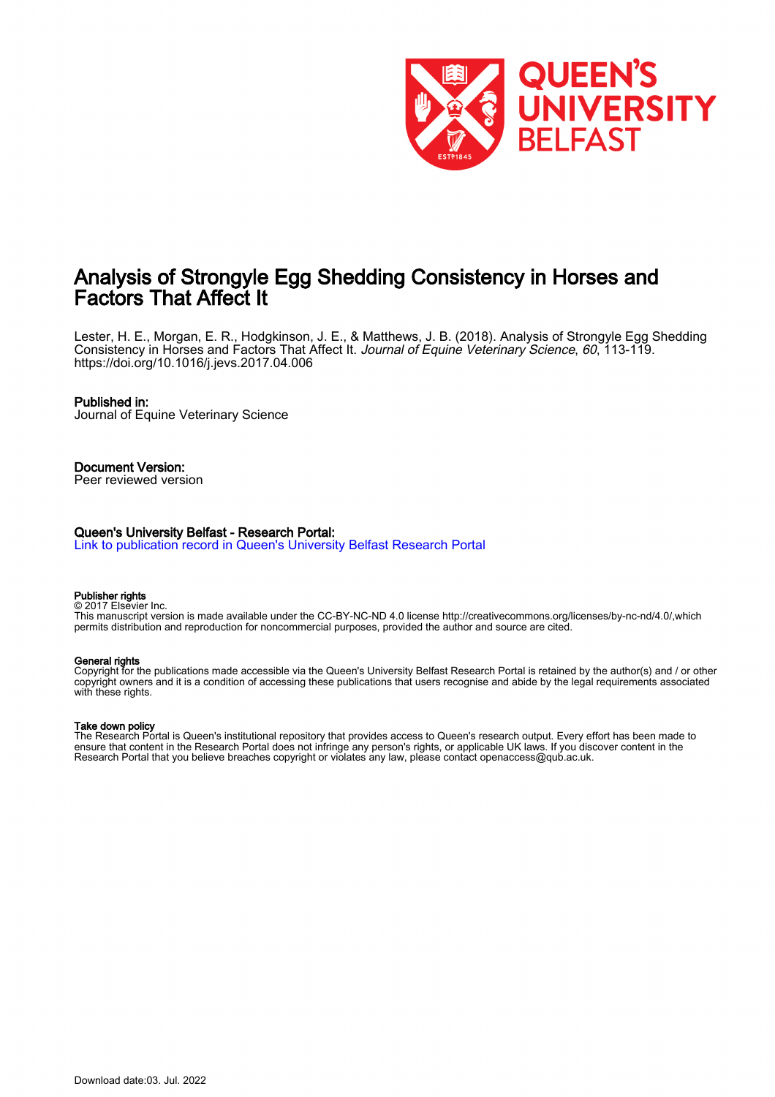

## Analysis of Strongyle Egg Shedding Consistency in Horses and Factors That Affect It

Lester, H. E., Morgan, E. R., Hodgkinson, J. E., & Matthews, J. B. (2018). Analysis of Strongyle Egg Shedding Consistency in Horses and Factors That Affect It. Journal of Equine Veterinary Science, 60, 113-119. <https://doi.org/10.1016/j.jevs.2017.04.006>

#### Published in:

Journal of Equine Veterinary Science

#### Document Version: Peer reviewed version

#### Queen's University Belfast - Research Portal:

[Link to publication record in Queen's University Belfast Research Portal](https://pure.qub.ac.uk/en/publications/422f3e2d-f650-4127-b34b-285c358dfe46)

#### Publisher rights

© 2017 Elsevier Inc. This manuscript version is made available under the CC-BY-NC-ND 4.0 license http://creativecommons.org/licenses/by-nc-nd/4.0/,which permits distribution and reproduction for noncommercial purposes, provided the author and source are cited.

#### General rights

Copyright for the publications made accessible via the Queen's University Belfast Research Portal is retained by the author(s) and / or other copyright owners and it is a condition of accessing these publications that users recognise and abide by the legal requirements associated with these rights.

#### Take down policy

The Research Portal is Queen's institutional repository that provides access to Queen's research output. Every effort has been made to ensure that content in the Research Portal does not infringe any person's rights, or applicable UK laws. If you discover content in the Research Portal that you believe breaches copyright or violates any law, please contact openaccess@qub.ac.uk.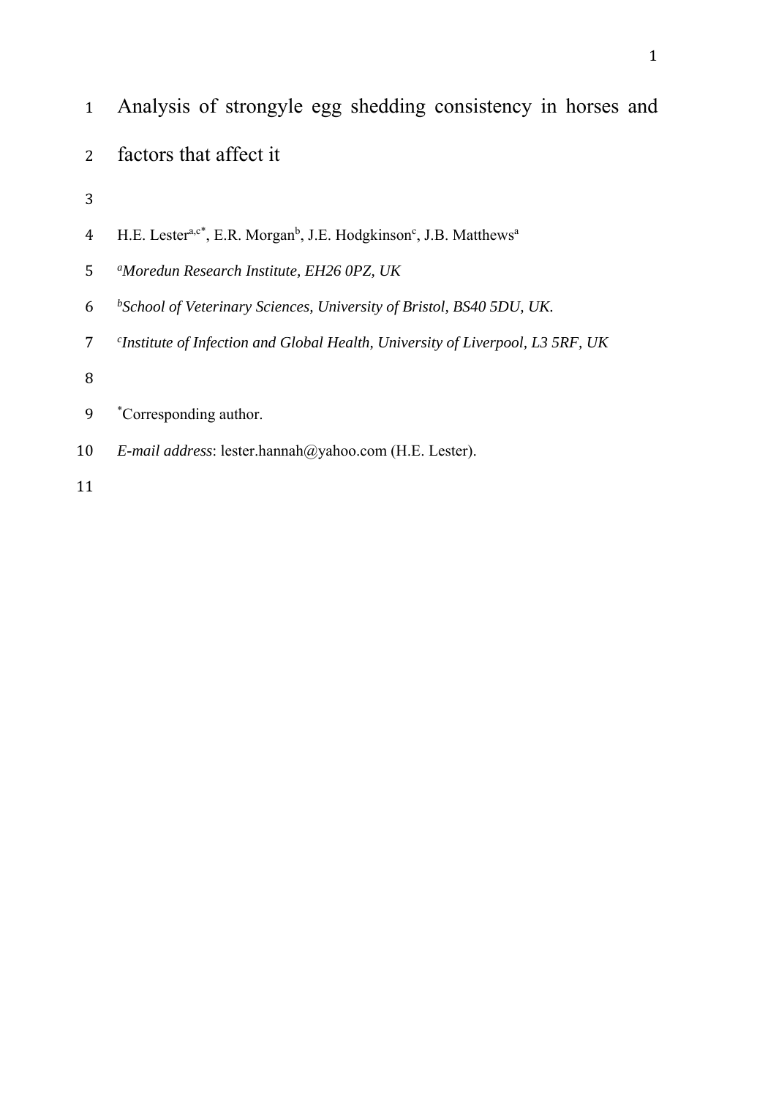- Analysis of strongyle egg shedding consistency in horses and
- factors that affect it
- 
- 4 H.E. Lester<sup>a,c\*</sup>, E.R. Morgan<sup>b</sup>, J.E. Hodgkinson<sup>c</sup>, J.B. Matthews<sup>a</sup>
- *<sup>a</sup> Moredun Research Institute, EH26 0PZ, UK*
- *<sup>b</sup> School of Veterinary Sciences, University of Bristol, BS40 5DU, UK.*
- *<sup>c</sup> Institute of Infection and Global Health, University of Liverpool, L3 5RF, UK*
- 
- 9 \*Corresponding author.
- *E-mail address*: lester.hannah@yahoo.com (H.E. Lester).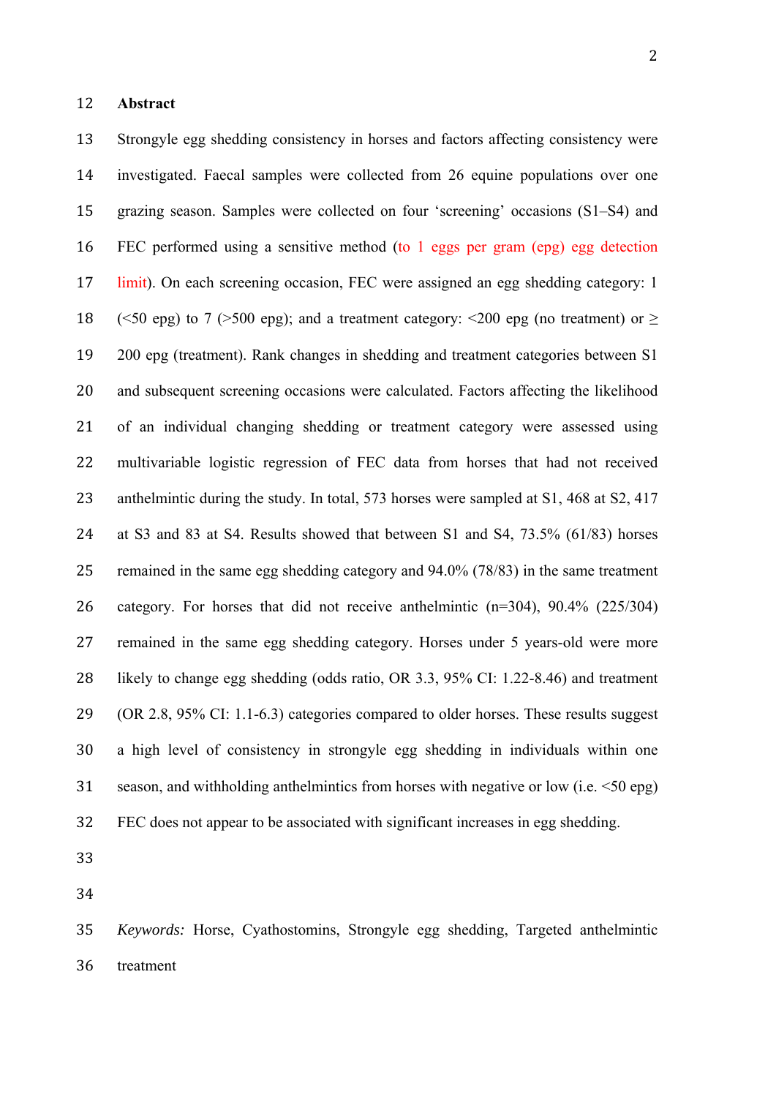13 Strongyle egg shedding consistency in horses and factors affecting consistency were investigated. Faecal samples were collected from 26 equine populations over one grazing season. Samples were collected on four 'screening' occasions (S1–S4) and FEC performed using a sensitive method (to 1 eggs per gram (epg) egg detection 17 limit). On each screening occasion, FEC were assigned an egg shedding category: 1 18  $\left(\leq 50 \text{ erg}\right)$  to 7 (>500 epg); and a treatment category:  $\leq 200 \text{ erg}$  (no treatment) or  $\geq$  200 epg (treatment). Rank changes in shedding and treatment categories between S1 20 and subsequent screening occasions were calculated. Factors affecting the likelihood 21 of an individual changing shedding or treatment category were assessed using 22 multivariable logistic regression of FEC data from horses that had not received 23 anthelmintic during the study. In total, 573 horses were sampled at S1, 468 at S2, 417 at S3 and 83 at S4. Results showed that between S1 and S4, 73.5% (61/83) horses remained in the same egg shedding category and 94.0% (78/83) in the same treatment category. For horses that did not receive anthelmintic (n=304), 90.4% (225/304) 27 remained in the same egg shedding category. Horses under 5 years-old were more likely to change egg shedding (odds ratio, OR 3.3, 95% CI: 1.22-8.46) and treatment 29 (OR 2.8, 95% CI: 1.1-6.3) categories compared to older horses. These results suggest a high level of consistency in strongyle egg shedding in individuals within one 31 season, and withholding anthelmintics from horses with negative or low (i.e.  $\leq 50$  epg) FEC does not appear to be associated with significant increases in egg shedding.

 *Keywords:* Horse, Cyathostomins, Strongyle egg shedding, Targeted anthelmintic treatment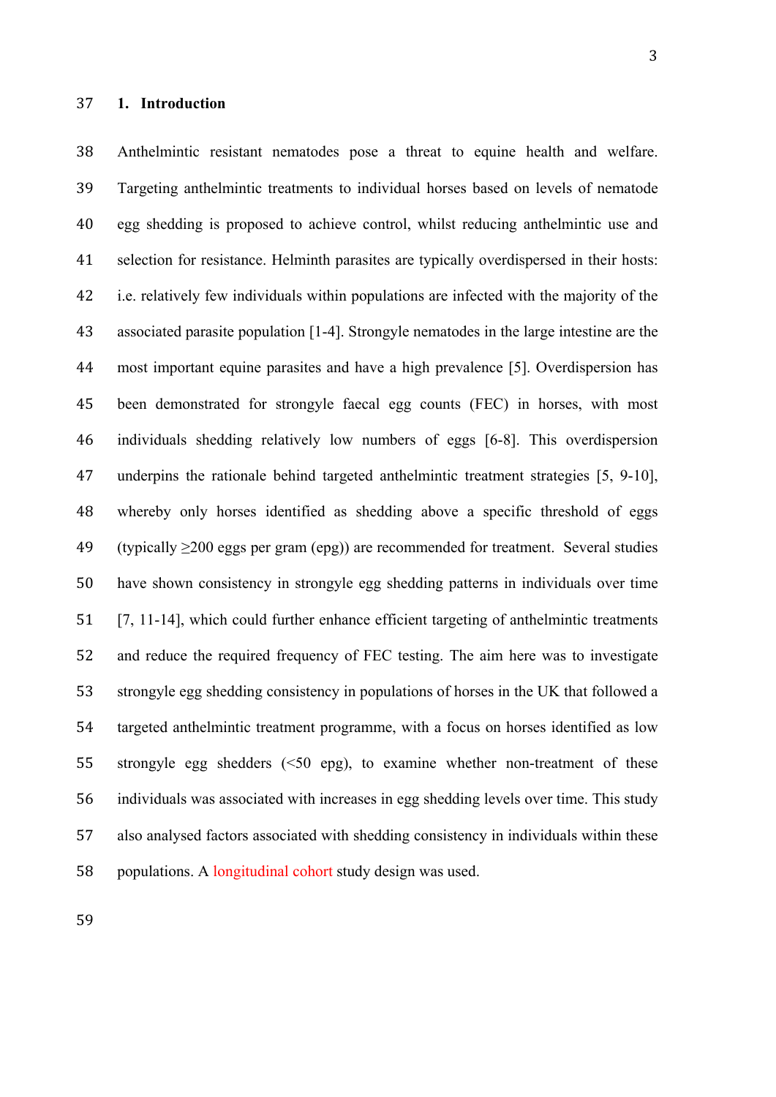Anthelmintic resistant nematodes pose a threat to equine health and welfare. Targeting anthelmintic treatments to individual horses based on levels of nematode egg shedding is proposed to achieve control, whilst reducing anthelmintic use and selection for resistance. Helminth parasites are typically overdispersed in their hosts: i.e. relatively few individuals within populations are infected with the majority of the associated parasite population [1-4]. Strongyle nematodes in the large intestine are the most important equine parasites and have a high prevalence [5]. Overdispersion has been demonstrated for strongyle faecal egg counts (FEC) in horses, with most individuals shedding relatively low numbers of eggs [6-8]. This overdispersion 47 underpins the rationale behind targeted anthelmintic treatment strategies [5, 9-10], whereby only horses identified as shedding above a specific threshold of eggs (typically ≥200 eggs per gram (epg)) are recommended for treatment. Several studies have shown consistency in strongyle egg shedding patterns in individuals over time [7, 11-14], which could further enhance efficient targeting of anthelmintic treatments 52 and reduce the required frequency of FEC testing. The aim here was to investigate strongyle egg shedding consistency in populations of horses in the UK that followed a targeted anthelmintic treatment programme, with a focus on horses identified as low strongyle egg shedders (<50 epg), to examine whether non-treatment of these

 also analysed factors associated with shedding consistency in individuals within these 58 populations. A longitudinal cohort study design was used.

individuals was associated with increases in egg shedding levels over time. This study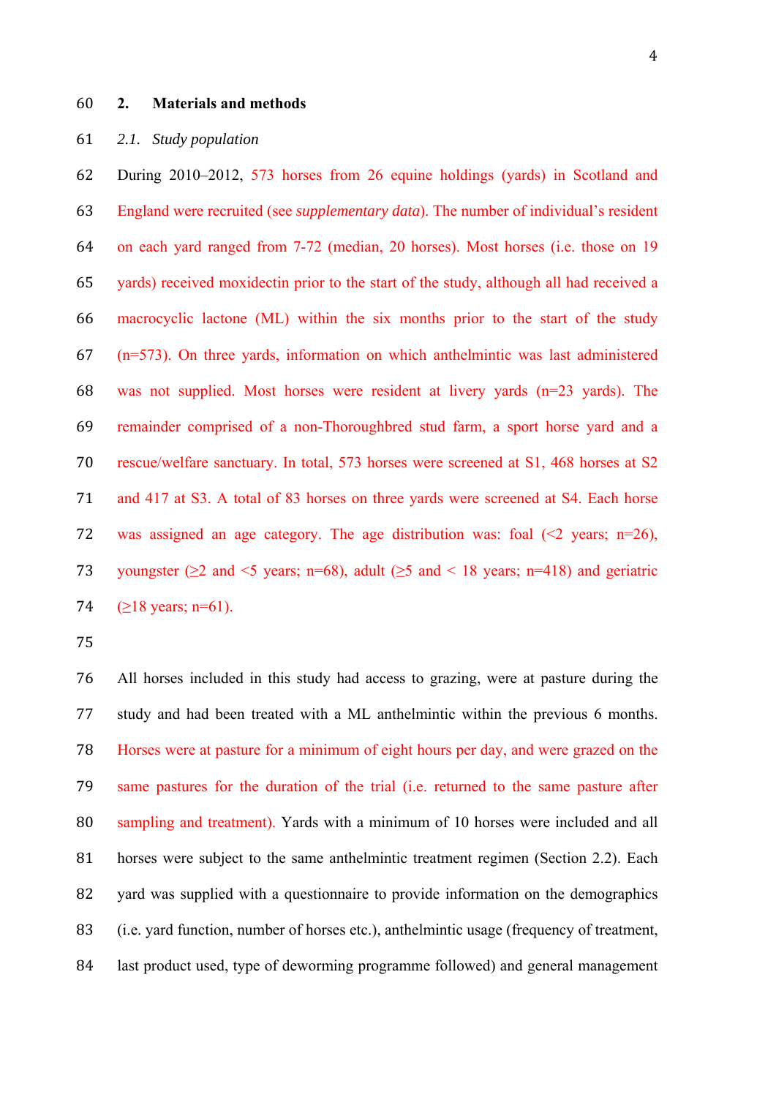### **2. Materials and methods**

## *2.1. Study population*

 During 2010–2012, 573 horses from 26 equine holdings (yards) in Scotland and England were recruited (see *supplementary data*). The number of individual's resident on each yard ranged from 7-72 (median, 20 horses). Most horses (i.e. those on 19 yards) received moxidectin prior to the start of the study, although all had received a macrocyclic lactone (ML) within the six months prior to the start of the study (n=573). On three yards, information on which anthelmintic was last administered 68 was not supplied. Most horses were resident at livery yards  $(n=23 \text{ yards})$ . The remainder comprised of a non-Thoroughbred stud farm, a sport horse yard and a rescue/welfare sanctuary. In total, 573 horses were screened at S1, 468 horses at S2 71 and 417 at S3. A total of 83 horses on three yards were screened at S4. Each horse 72 was assigned an age category. The age distribution was: foal  $(\leq 2 \text{ years}; \text{ n=26})$ , 73 voungster ( $\geq$ 2 and <5 years; n=68), adult ( $\geq$ 5 and < 18 years; n=418) and geriatric  $(>18 \text{ years}; \text{ n=61}).$ 

 All horses included in this study had access to grazing, were at pasture during the 77 study and had been treated with a ML anthelmintic within the previous 6 months. Horses were at pasture for a minimum of eight hours per day, and were grazed on the same pastures for the duration of the trial (i.e. returned to the same pasture after sampling and treatment). Yards with a minimum of 10 horses were included and all 81 horses were subject to the same anthelmintic treatment regimen (Section 2.2). Each 82 yard was supplied with a questionnaire to provide information on the demographics (i.e. yard function, number of horses etc.), anthelmintic usage (frequency of treatment, last product used, type of deworming programme followed) and general management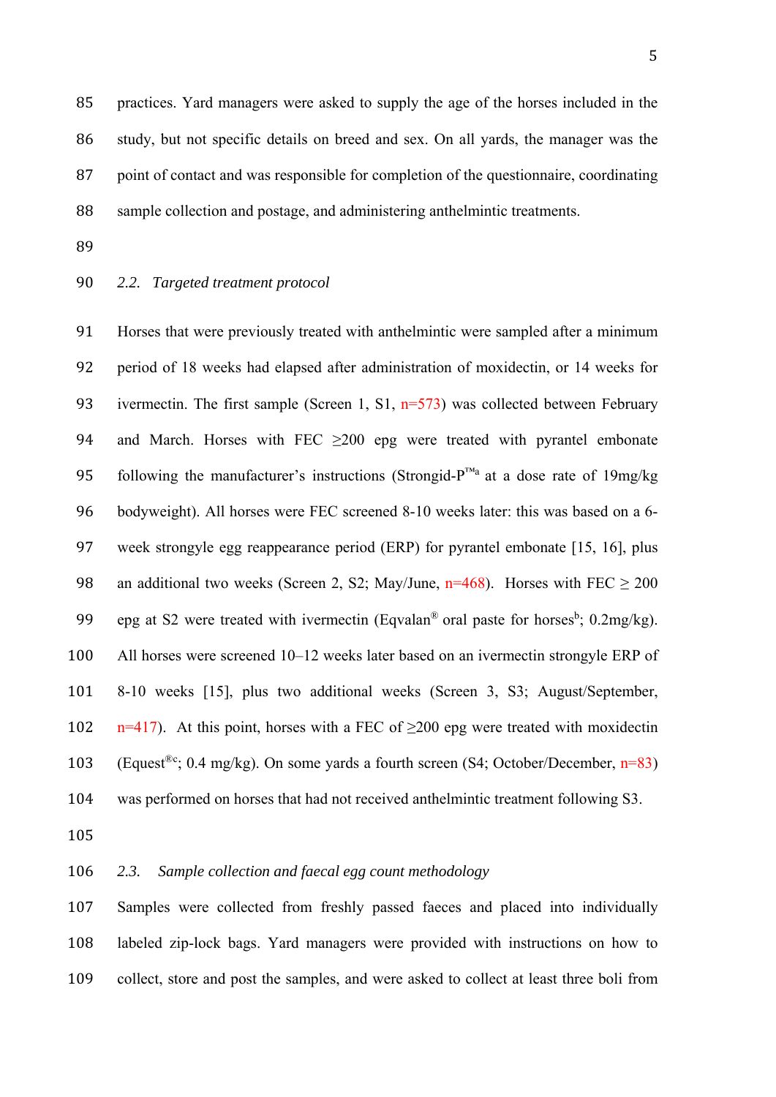85 practices. Yard managers were asked to supply the age of the horses included in the 86 study, but not specific details on breed and sex. On all yards, the manager was the 87 point of contact and was responsible for completion of the questionnaire, coordinating 88 sample collection and postage, and administering anthelmintic treatments.

- 89
- 90 *2.2. Targeted treatment protocol*

91 Horses that were previously treated with anthelmintic were sampled after a minimum 92 period of 18 weeks had elapsed after administration of moxidectin, or 14 weeks for 93 ivermectin. The first sample (Screen 1, S1,  $n=573$ ) was collected between February 94 and March. Horses with FEC  $\geq 200$  epg were treated with pyrantel embonate 95 following the manufacturer's instructions (Strongid-P<sup>™a</sup> at a dose rate of 19mg/kg 96 bodyweight). All horses were FEC screened 8-10 weeks later: this was based on a 6- 97 week strongyle egg reappearance period (ERP) for pyrantel embonate [15, 16], plus 98 an additional two weeks (Screen 2, S2; May/June,  $n=468$ ). Horses with FEC  $\geq 200$ 99 epg at S2 were treated with ivermectin (Eqvalan<sup>®</sup> oral paste for horses<sup>b</sup>; 0.2mg/kg). 100 All horses were screened 10–12 weeks later based on an ivermectin strongyle ERP of 101 8-10 weeks [15], plus two additional weeks (Screen 3, S3; August/September, 102 n=417). At this point, horses with a FEC of  $\geq$ 200 epg were treated with moxidectin 103 (Equest<sup>®c</sup>; 0.4 mg/kg). On some yards a fourth screen (S4; October/December, n=83) 104 was performed on horses that had not received anthelmintic treatment following S3.

105 

## 106 *2.3. Sample collection and faecal egg count methodology*

107 Samples were collected from freshly passed faeces and placed into individually 108 labeled zip-lock bags. Yard managers were provided with instructions on how to 109 collect, store and post the samples, and were asked to collect at least three boli from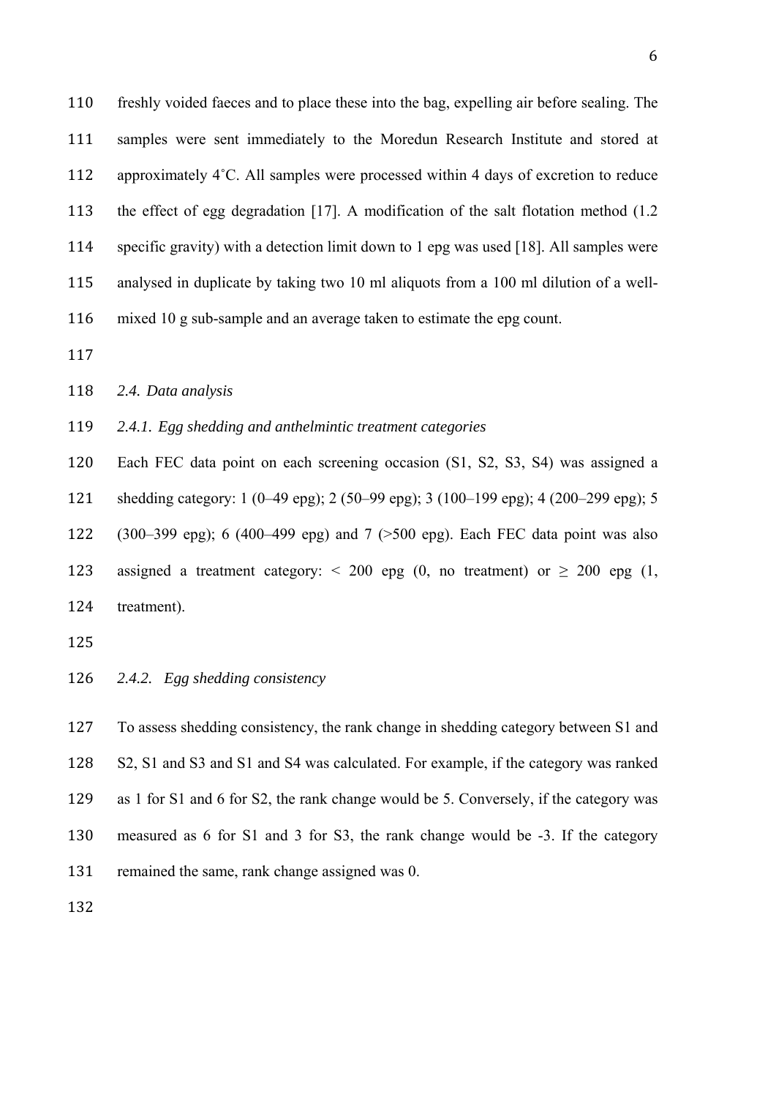freshly voided faeces and to place these into the bag, expelling air before sealing. The 111 samples were sent immediately to the Moredun Research Institute and stored at 112 approximately 4°C. All samples were processed within 4 days of excretion to reduce 113 the effect of egg degradation [17]. A modification of the salt flotation method (1.2) specific gravity) with a detection limit down to 1 epg was used [18]. All samples were analysed in duplicate by taking two 10 ml aliquots from a 100 ml dilution of a well-116 mixed 10 g sub-sample and an average taken to estimate the epg count.

*2.4. Data analysis* 

*2.4.1. Egg shedding and anthelmintic treatment categories* 

 Each FEC data point on each screening occasion (S1, S2, S3, S4) was assigned a 121 shedding category: 1 (0–49 epg); 2 (50–99 epg); 3 (100–199 epg); 4 (200–299 epg); 5 122 (300–399 epg); 6 (400–499 epg) and 7 ( $>500$  epg). Each FEC data point was also

123 assigned a treatment category: < 200 epg (0, no treatment) or  $\geq$  200 epg (1, 124 treatment).

- 
- *2.4.2. Egg shedding consistency*

 To assess shedding consistency, the rank change in shedding category between S1 and S2, S1 and S3 and S1 and S4 was calculated. For example, if the category was ranked as 1 for S1 and 6 for S2, the rank change would be 5. Conversely, if the category was measured as 6 for S1 and 3 for S3, the rank change would be -3. If the category 131 remained the same, rank change assigned was 0.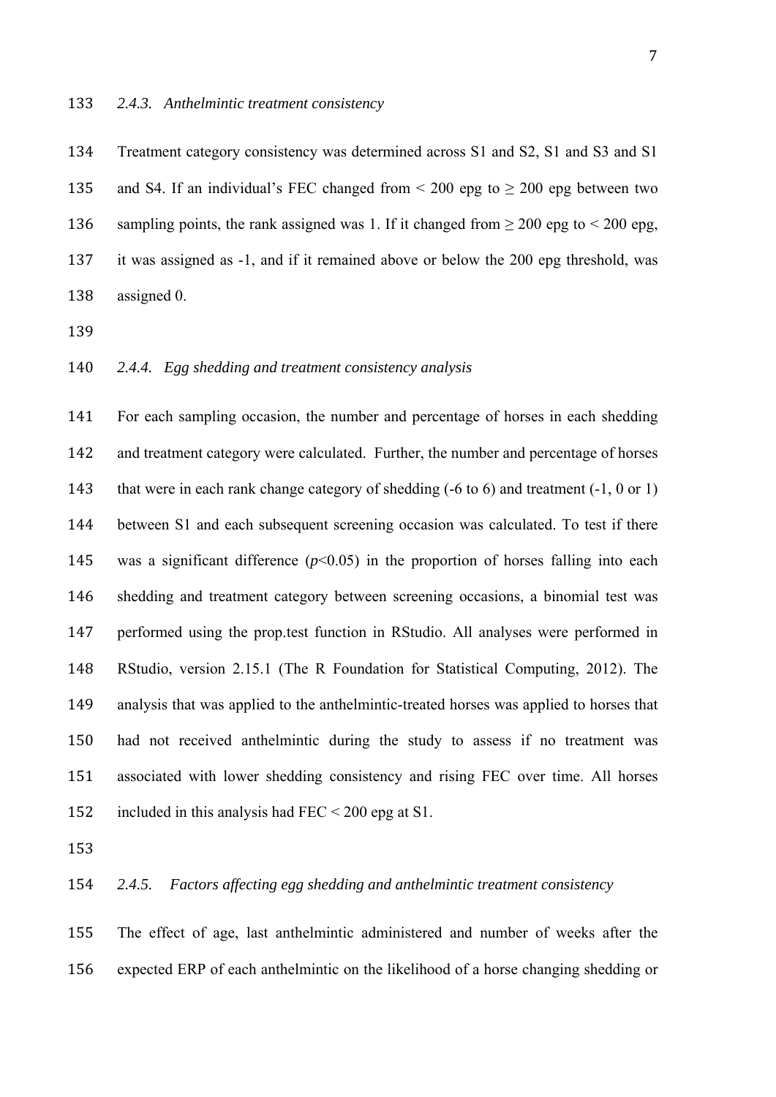134 Treatment category consistency was determined across S1 and S2, S1 and S3 and S1 135 and S4. If an individual's FEC changed from  $\leq 200$  epg to  $\geq 200$  epg between two 136 sampling points, the rank assigned was 1. If it changed from  $\geq 200$  epg to  $\leq 200$  epg, 137 it was assigned as -1, and if it remained above or below the 200 epg threshold, was 138 assigned 0.

139 

140 *2.4.4. Egg shedding and treatment consistency analysis* 

141 For each sampling occasion, the number and percentage of horses in each shedding 142 and treatment category were calculated. Further, the number and percentage of horses 143 that were in each rank change category of shedding (-6 to 6) and treatment (-1, 0 or 1) 144 between S1 and each subsequent screening occasion was calculated. To test if there 145 was a significant difference  $(p<0.05)$  in the proportion of horses falling into each 146 shedding and treatment category between screening occasions, a binomial test was 147 performed using the prop.test function in RStudio. All analyses were performed in 148 RStudio, version 2.15.1 (The R Foundation for Statistical Computing, 2012). The 149 analysis that was applied to the anthelmintic-treated horses was applied to horses that 150 had not received anthelmintic during the study to assess if no treatment was 151 associated with lower shedding consistency and rising FEC over time. All horses 152 included in this analysis had  $\text{FEC} < 200$  epg at S1.

153 

## 154 *2.4.5. Factors affecting egg shedding and anthelmintic treatment consistency*

155 The effect of age, last anthelmintic administered and number of weeks after the 156 expected ERP of each anthelmintic on the likelihood of a horse changing shedding or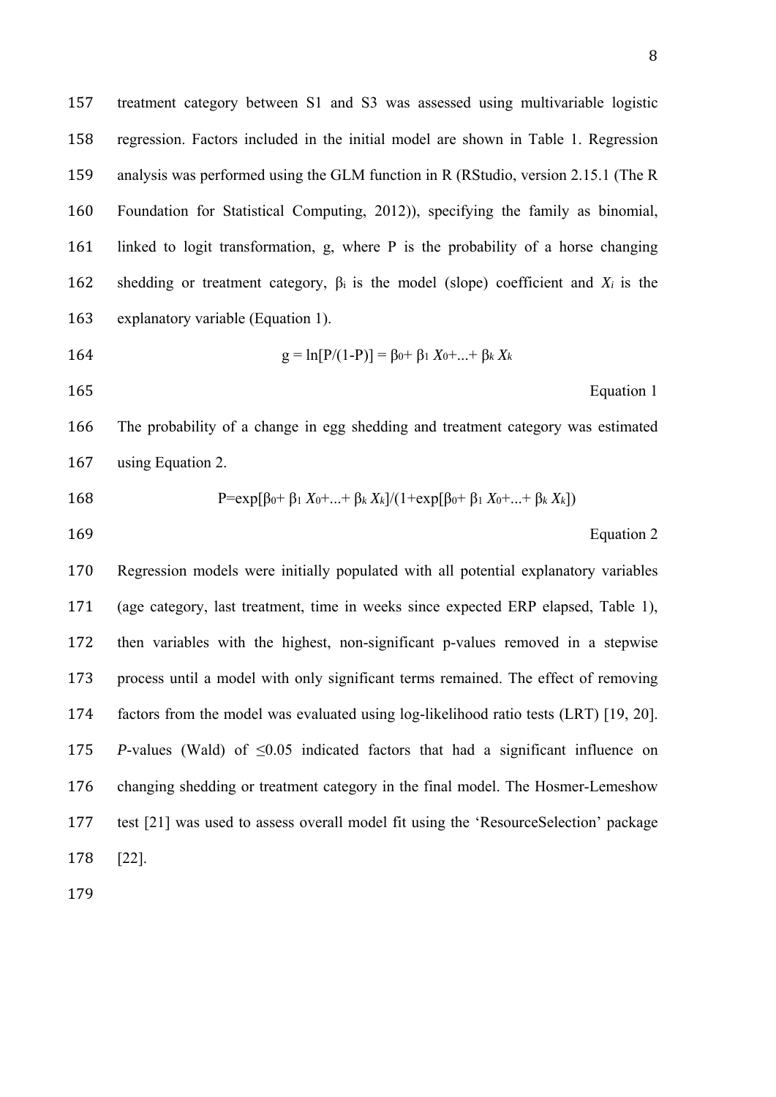Equation 1

 treatment category between S1 and S3 was assessed using multivariable logistic regression. Factors included in the initial model are shown in Table 1. Regression analysis was performed using the GLM function in R (RStudio, version 2.15.1 (The R Foundation for Statistical Computing, 2012)), specifying the family as binomial, linked to logit transformation, g, where P is the probability of a horse changing 162 shedding or treatment category,  $\beta_i$  is the model (slope) coefficient and  $X_i$  is the explanatory variable (Equation 1).

$$
164 \t\t g = \ln[P/(1-P)] = \beta_0 + \beta_1
$$

 The probability of a change in egg shedding and treatment category was estimated 167 using Equation 2.

 $X_0 + ... + \beta_k X_k$ 

168 
$$
P=\exp[\beta_0+\beta_1 X_0+...+\beta_k X_k]/(1+\exp[\beta_0+\beta_1 X_0+...+\beta_k X_k])
$$

169 Equation 2

 Regression models were initially populated with all potential explanatory variables (age category, last treatment, time in weeks since expected ERP elapsed, Table 1), then variables with the highest, non-significant p-values removed in a stepwise process until a model with only significant terms remained. The effect of removing factors from the model was evaluated using log-likelihood ratio tests (LRT) [19, 20]. *P*-values (Wald) of  $\leq 0.05$  indicated factors that had a significant influence on changing shedding or treatment category in the final model. The Hosmer-Lemeshow test [21] was used to assess overall model fit using the 'ResourceSelection' package [22].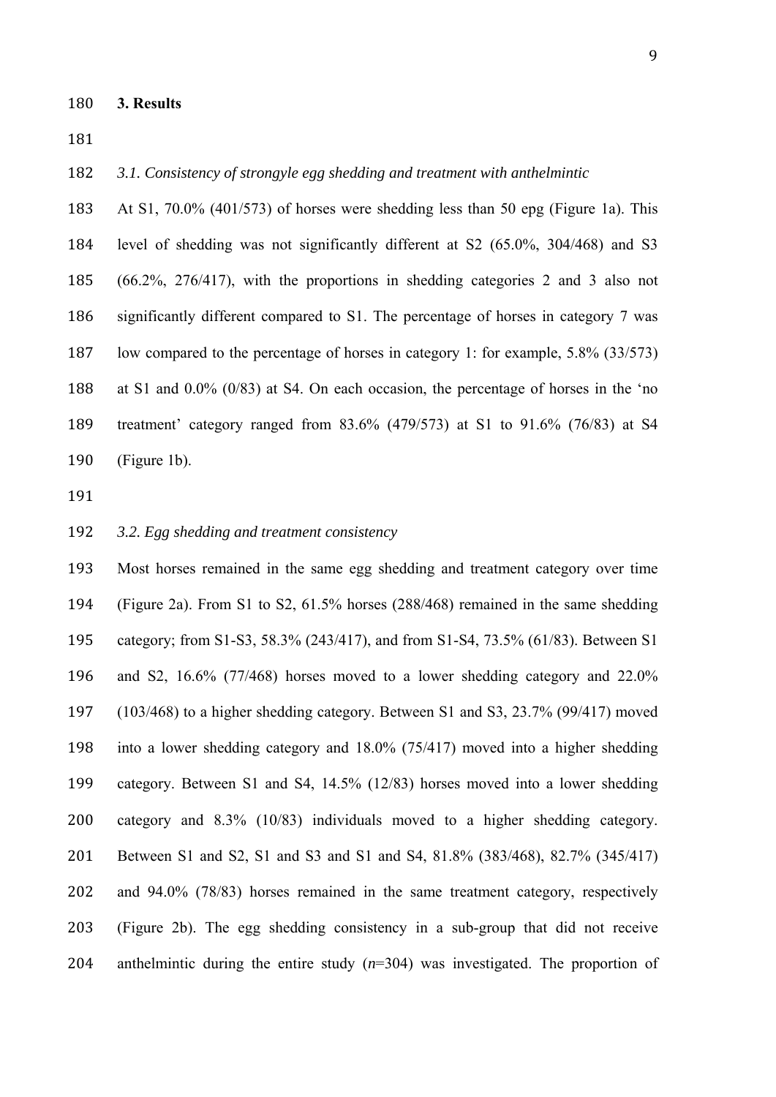*3.1. Consistency of strongyle egg shedding and treatment with anthelmintic* 

 At S1, 70.0% (401/573) of horses were shedding less than 50 epg (Figure 1a). This level of shedding was not significantly different at S2 (65.0%, 304/468) and S3 (66.2%, 276/417), with the proportions in shedding categories 2 and 3 also not significantly different compared to S1. The percentage of horses in category 7 was low compared to the percentage of horses in category 1: for example, 5.8% (33/573) at S1 and 0.0% (0/83) at S4. On each occasion, the percentage of horses in the 'no treatment' category ranged from 83.6% (479/573) at S1 to 91.6% (76/83) at S4 (Figure 1b).

#### *3.2. Egg shedding and treatment consistency*

 Most horses remained in the same egg shedding and treatment category over time (Figure 2a). From S1 to S2, 61.5% horses (288/468) remained in the same shedding category; from S1-S3, 58.3% (243/417), and from S1-S4, 73.5% (61/83). Between S1 and S2, 16.6% (77/468) horses moved to a lower shedding category and 22.0% (103/468) to a higher shedding category. Between S1 and S3, 23.7% (99/417) moved into a lower shedding category and 18.0% (75/417) moved into a higher shedding category. Between S1 and S4, 14.5% (12/83) horses moved into a lower shedding category and 8.3% (10/83) individuals moved to a higher shedding category. Between S1 and S2, S1 and S3 and S1 and S4, 81.8% (383/468), 82.7% (345/417) and 94.0% (78/83) horses remained in the same treatment category, respectively (Figure 2b). The egg shedding consistency in a sub-group that did not receive anthelmintic during the entire study (*n*=304) was investigated. The proportion of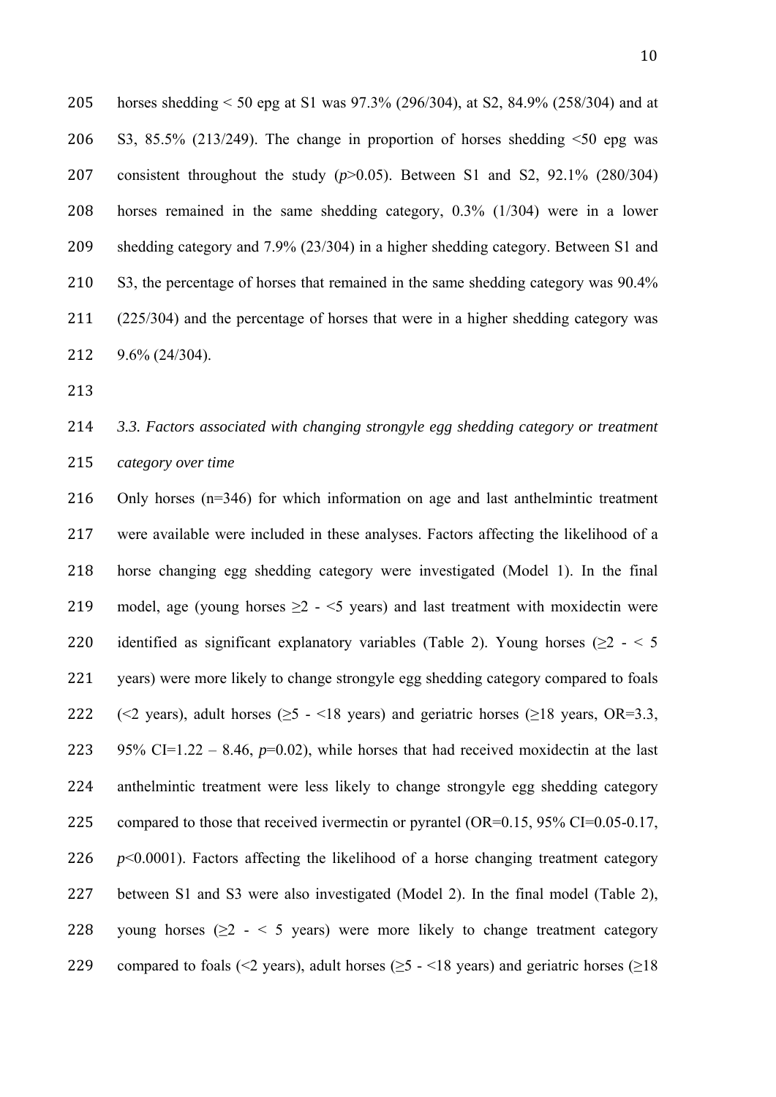horses shedding < 50 epg at S1 was 97.3% (296/304), at S2, 84.9% (258/304) and at 206 S3, 85.5% (213/249). The change in proportion of horses shedding  $\leq 50$  epg was consistent throughout the study (*p*>0.05). Between S1 and S2, 92.1% (280/304) horses remained in the same shedding category, 0.3% (1/304) were in a lower shedding category and 7.9% (23/304) in a higher shedding category. Between S1 and 210 S3, the percentage of horses that remained in the same shedding category was 90.4% 211 (225/304) and the percentage of horses that were in a higher shedding category was 9.6% (24/304).

213 

# 214 *3.3. Factors associated with changing strongyle egg shedding category or treatment*  215 *category over time*

216 Only horses (n=346) for which information on age and last anthelmintic treatment 217 were available were included in these analyses. Factors affecting the likelihood of a 218 horse changing egg shedding category were investigated (Model 1). In the final 219 model, age (young horses  $\geq$  2 -  $\leq$  years) and last treatment with moxidectin were 220 identified as significant explanatory variables (Table 2). Young horses ( $>2 - 5$ 221 vears) were more likely to change strongyle egg shedding category compared to foals 222 ( $\leq$  years), adult horses ( $\geq$ 5 -  $\leq$ 18 years) and geriatric horses ( $\geq$ 18 years, OR=3.3, 223 95% CI=1.22 – 8.46,  $p=0.02$ ), while horses that had received moxidectin at the last 224 anthelmintic treatment were less likely to change strongyle egg shedding category 225 compared to those that received ivermectin or pyrantel  $(OR=0.15, 95\% \text{ CI}=0.05-0.17,$ 226  $p<0.0001$ ). Factors affecting the likelihood of a horse changing treatment category 227 between S1 and S3 were also investigated (Model 2). In the final model (Table 2), 228 young horses ( $\geq$  2 - < 5 years) were more likely to change treatment category 229 compared to foals (<2 years), adult horses ( $\geq$ 5 - <18 years) and geriatric horses ( $\geq$ 18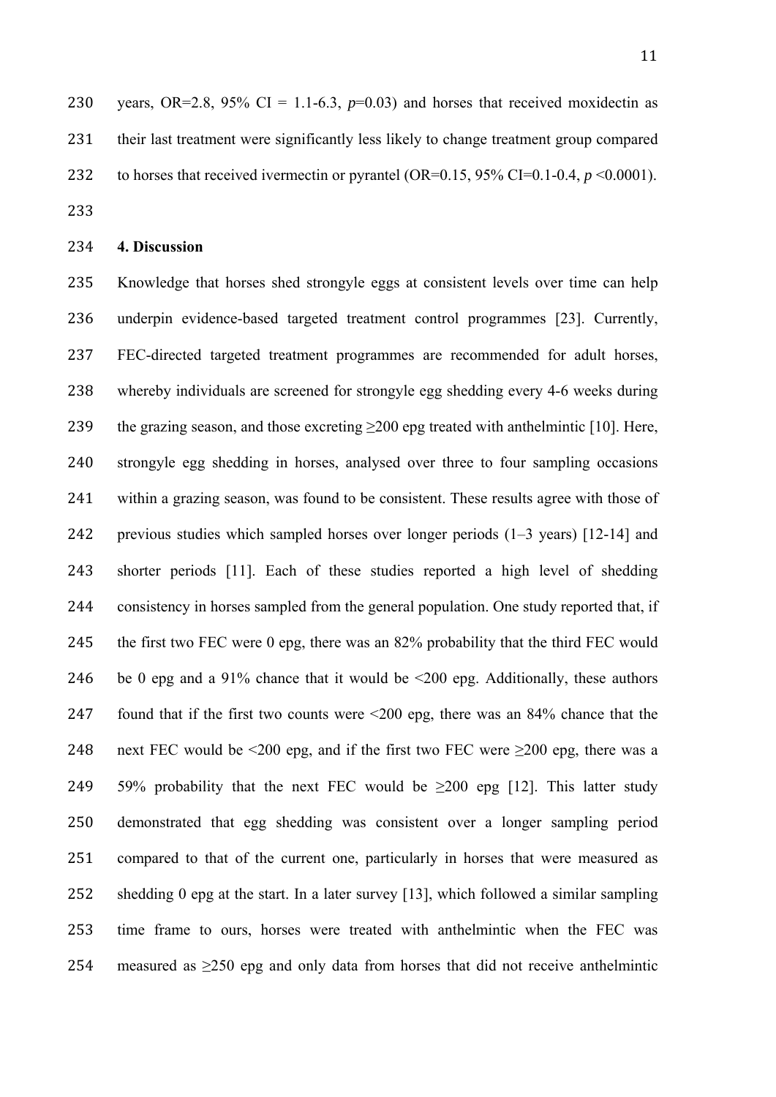230 years, OR=2.8, 95% CI = 1.1-6.3,  $p=0.03$ ) and horses that received moxidectin as 231 their last treatment were significantly less likely to change treatment group compared 232 to horses that received ivermectin or pyrantel (OR=0.15, 95% CI=0.1-0.4,  $p \le 0.0001$ ).

233 

## 234 **4. Discussion**

235 Knowledge that horses shed strongyle eggs at consistent levels over time can help 236 underpin evidence-based targeted treatment control programmes [23]. Currently, 237 FEC-directed targeted treatment programmes are recommended for adult horses, 238 whereby individuals are screened for strongyle egg shedding every 4-6 weeks during 239 the grazing season, and those excreting >200 epg treated with anthelmintic [10]. Here, 240 strongyle egg shedding in horses, analysed over three to four sampling occasions 241 within a grazing season, was found to be consistent. These results agree with those of 242 previous studies which sampled horses over longer periods  $(1-3 \text{ years})$  [12-14] and 243 shorter periods [11]. Each of these studies reported a high level of shedding 244 consistency in horses sampled from the general population. One study reported that, if 245 the first two FEC were 0 epg, there was an 82% probability that the third FEC would 246 be 0 epg and a 91% chance that it would be  $\leq 200$  epg. Additionally, these authors 247 found that if the first two counts were  $\leq 200$  epg, there was an 84% chance that the 248 next FEC would be <200 epg, and if the first two FEC were  $\geq$ 200 epg, there was a 249 59% probability that the next FEC would be  $\geq 200$  epg [12]. This latter study 250 demonstrated that egg shedding was consistent over a longer sampling period 251 compared to that of the current one, particularly in horses that were measured as 252 shedding 0 epg at the start. In a later survey [13], which followed a similar sampling 253 time frame to ours, horses were treated with anthelmintic when the FEC was 254 measured as  $>250$  epg and only data from horses that did not receive anthelmintic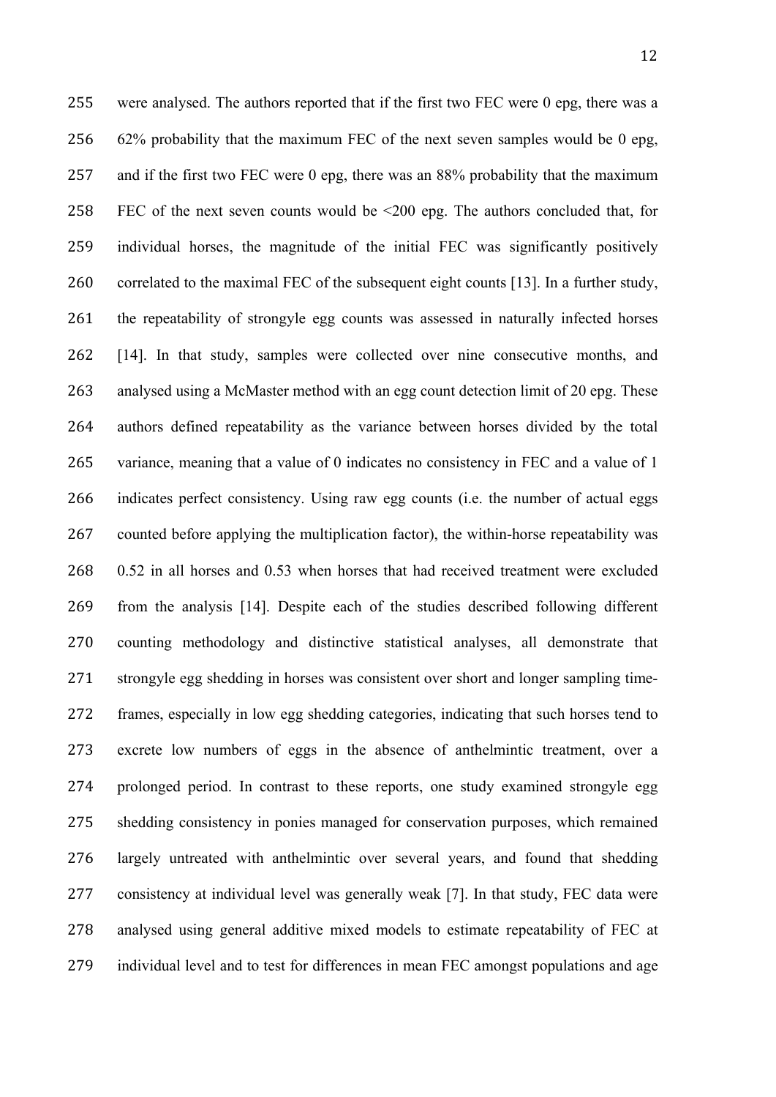255 were analysed. The authors reported that if the first two FEC were 0 epg, there was a 256 62% probability that the maximum FEC of the next seven samples would be 0 epg, 257 and if the first two FEC were 0 epg, there was an 88% probability that the maximum 258 FEC of the next seven counts would be <200 epg. The authors concluded that, for 259 individual horses, the magnitude of the initial FEC was significantly positively 260 correlated to the maximal FEC of the subsequent eight counts [13]. In a further study, 261 the repeatability of strongyle egg counts was assessed in naturally infected horses 262 [14]. In that study, samples were collected over nine consecutive months, and 263 analysed using a McMaster method with an egg count detection limit of 20 epg. These 264 authors defined repeatability as the variance between horses divided by the total 265 variance, meaning that a value of 0 indicates no consistency in FEC and a value of 1 266 indicates perfect consistency. Using raw egg counts (i.e. the number of actual eggs 267 counted before applying the multiplication factor), the within-horse repeatability was 268 0.52 in all horses and 0.53 when horses that had received treatment were excluded 269 from the analysis [14]. Despite each of the studies described following different 270 counting methodology and distinctive statistical analyses, all demonstrate that 271 strongyle egg shedding in horses was consistent over short and longer sampling time-272 frames, especially in low egg shedding categories, indicating that such horses tend to 273 excrete low numbers of eggs in the absence of anthelmintic treatment, over a 274 prolonged period. In contrast to these reports, one study examined strongyle egg 275 shedding consistency in ponies managed for conservation purposes, which remained 276 largely untreated with anthelmintic over several years, and found that shedding 277 consistency at individual level was generally weak [7]. In that study, FEC data were 278 analysed using general additive mixed models to estimate repeatability of FEC at 279 individual level and to test for differences in mean FEC amongst populations and age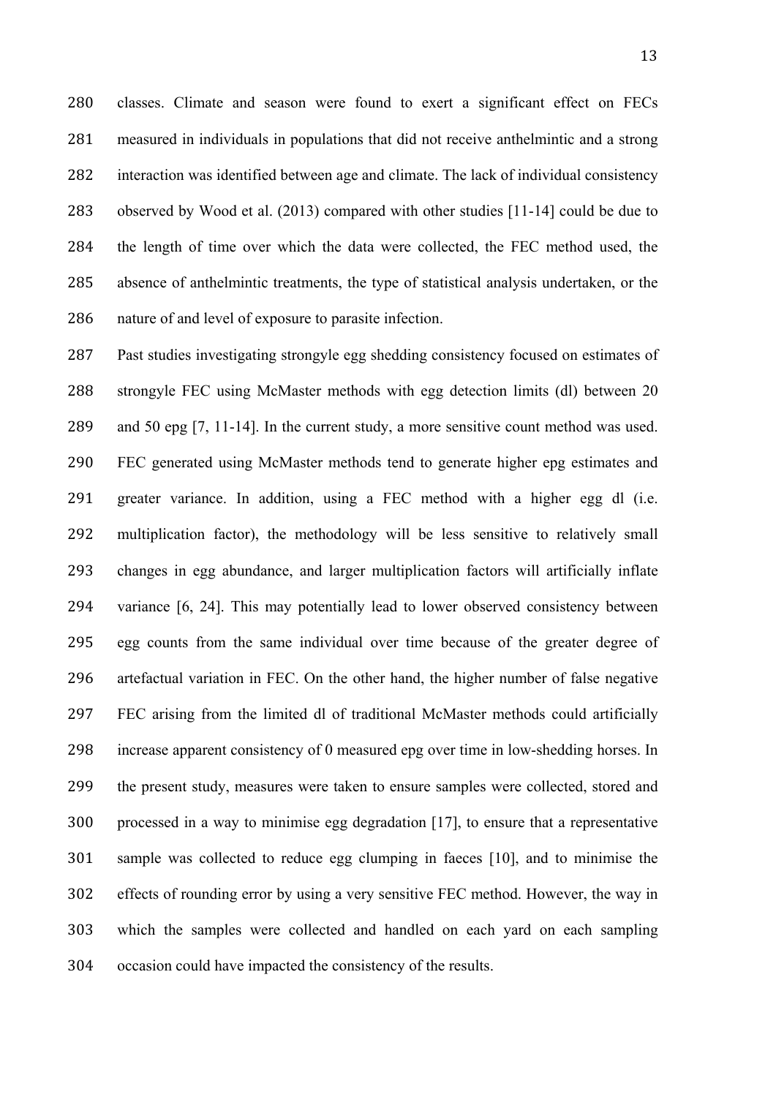classes. Climate and season were found to exert a significant effect on FECs 281 measured in individuals in populations that did not receive anthelmintic and a strong 282 interaction was identified between age and climate. The lack of individual consistency 283 observed by Wood et al. (2013) compared with other studies [11-14] could be due to the length of time over which the data were collected, the FEC method used, the 285 absence of anthelmintic treatments, the type of statistical analysis undertaken, or the 286 nature of and level of exposure to parasite infection.

287 Past studies investigating strongyle egg shedding consistency focused on estimates of 288 strongyle FEC using McMaster methods with egg detection limits (dl) between 20 and 50 epg [7, 11-14]. In the current study, a more sensitive count method was used. FEC generated using McMaster methods tend to generate higher epg estimates and 291 greater variance. In addition, using a FEC method with a higher egg dl (i.e. multiplication factor), the methodology will be less sensitive to relatively small changes in egg abundance, and larger multiplication factors will artificially inflate variance [6, 24]. This may potentially lead to lower observed consistency between egg counts from the same individual over time because of the greater degree of artefactual variation in FEC. On the other hand, the higher number of false negative 297 FEC arising from the limited dl of traditional McMaster methods could artificially increase apparent consistency of 0 measured epg over time in low-shedding horses. In 299 the present study, measures were taken to ensure samples were collected, stored and processed in a way to minimise egg degradation [17], to ensure that a representative sample was collected to reduce egg clumping in faeces [10], and to minimise the effects of rounding error by using a very sensitive FEC method. However, the way in which the samples were collected and handled on each yard on each sampling occasion could have impacted the consistency of the results.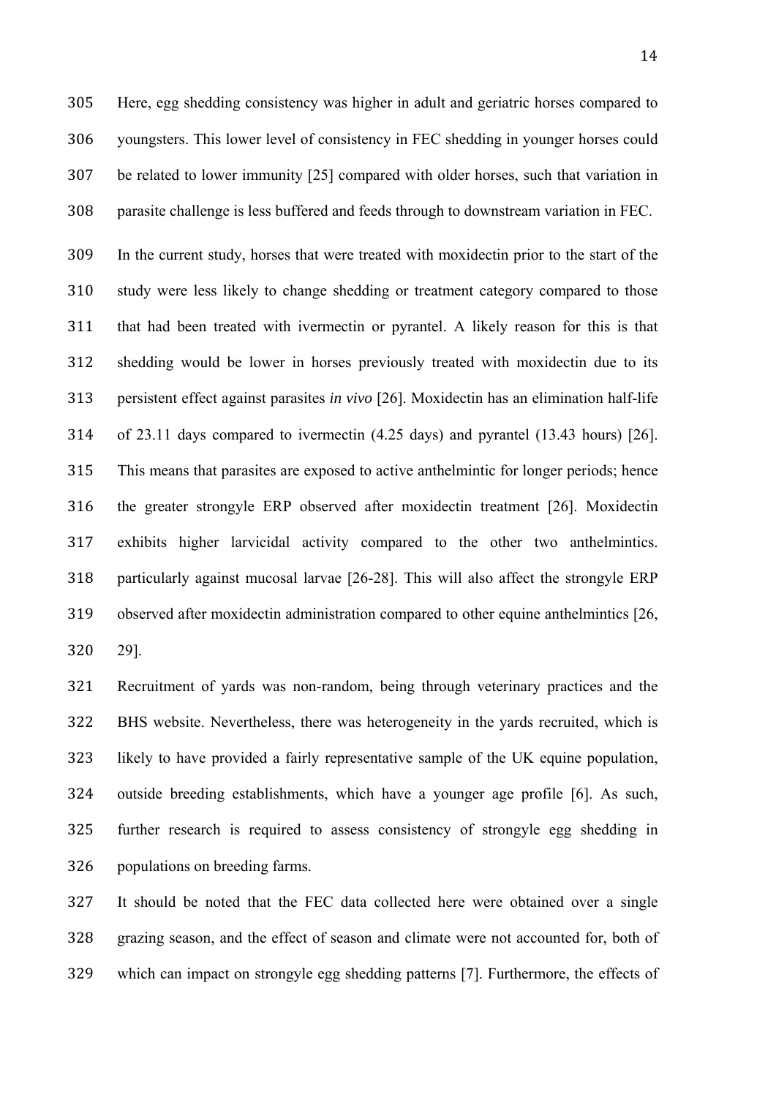Here, egg shedding consistency was higher in adult and geriatric horses compared to youngsters. This lower level of consistency in FEC shedding in younger horses could be related to lower immunity [25] compared with older horses, such that variation in parasite challenge is less buffered and feeds through to downstream variation in FEC.

 In the current study, horses that were treated with moxidectin prior to the start of the 310 study were less likely to change shedding or treatment category compared to those 311 that had been treated with ivermectin or pyrantel. A likely reason for this is that 312 shedding would be lower in horses previously treated with moxidectin due to its persistent effect against parasites *in vivo* [26]. Moxidectin has an elimination half-life of 23.11 days compared to ivermectin (4.25 days) and pyrantel (13.43 hours) [26]. 315 This means that parasites are exposed to active anthelmintic for longer periods; hence the greater strongyle ERP observed after moxidectin treatment [26]. Moxidectin exhibits higher larvicidal activity compared to the other two anthelmintics. particularly against mucosal larvae [26-28]. This will also affect the strongyle ERP 319 observed after moxidectin administration compared to other equine anthelmintics [26, 29].

 Recruitment of yards was non-random, being through veterinary practices and the 322 BHS website. Nevertheless, there was heterogeneity in the yards recruited, which is likely to have provided a fairly representative sample of the UK equine population, outside breeding establishments, which have a younger age profile [6]. As such, further research is required to assess consistency of strongyle egg shedding in populations on breeding farms.

327 It should be noted that the FEC data collected here were obtained over a single grazing season, and the effect of season and climate were not accounted for, both of 329 which can impact on strongyle egg shedding patterns [7]. Furthermore, the effects of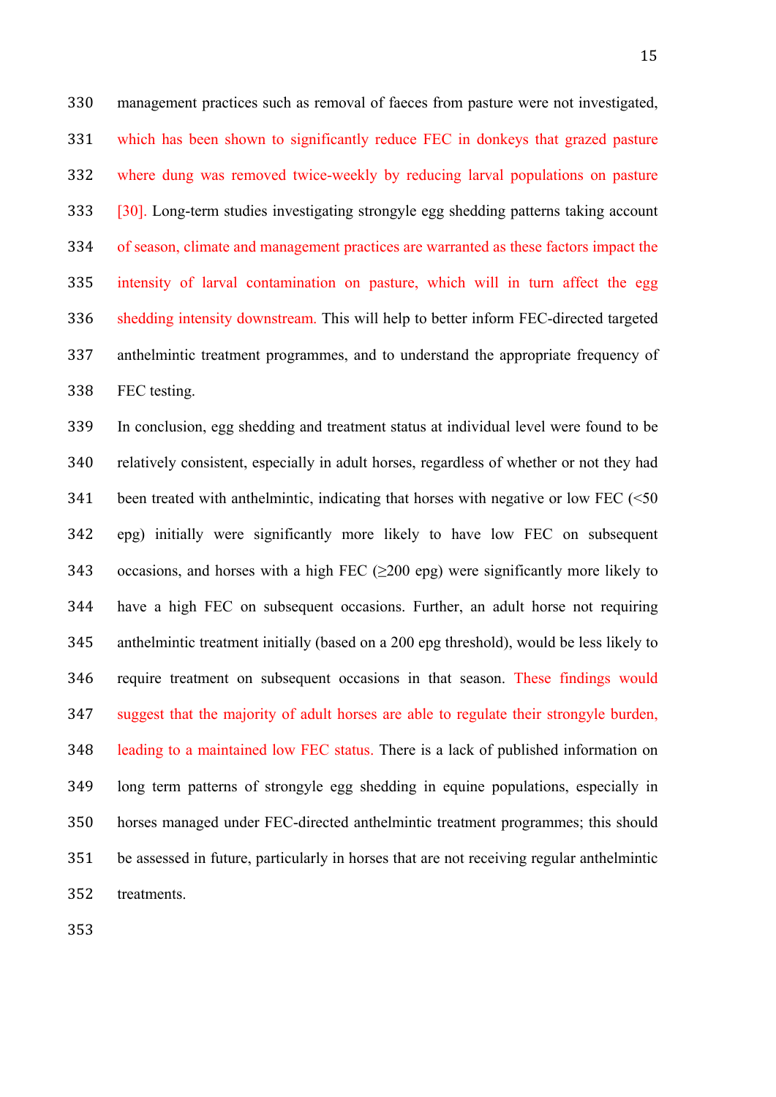management practices such as removal of faeces from pasture were not investigated, 331 which has been shown to significantly reduce FEC in donkeys that grazed pasture 332 where dung was removed twice-weekly by reducing larval populations on pasture 333 [30]. Long-term studies investigating strongyle egg shedding patterns taking account of season, climate and management practices are warranted as these factors impact the 335 intensity of larval contamination on pasture, which will in turn affect the egg 336 shedding intensity downstream. This will help to better inform FEC-directed targeted anthelmintic treatment programmes, and to understand the appropriate frequency of FEC testing.

 In conclusion, egg shedding and treatment status at individual level were found to be relatively consistent, especially in adult horses, regardless of whether or not they had been treated with anthelmintic, indicating that horses with negative or low FEC ( $\leq 50$ ) epg) initially were significantly more likely to have low FEC on subsequent 343 occasions, and horses with a high FEC  $(\geq 200 \text{ erg})$  were significantly more likely to have a high FEC on subsequent occasions. Further, an adult horse not requiring anthelmintic treatment initially (based on a 200 epg threshold), would be less likely to require treatment on subsequent occasions in that season. These findings would suggest that the majority of adult horses are able to regulate their strongyle burden, leading to a maintained low FEC status. There is a lack of published information on long term patterns of strongyle egg shedding in equine populations, especially in horses managed under FEC-directed anthelmintic treatment programmes; this should 351 be assessed in future, particularly in horses that are not receiving regular anthelmintic treatments.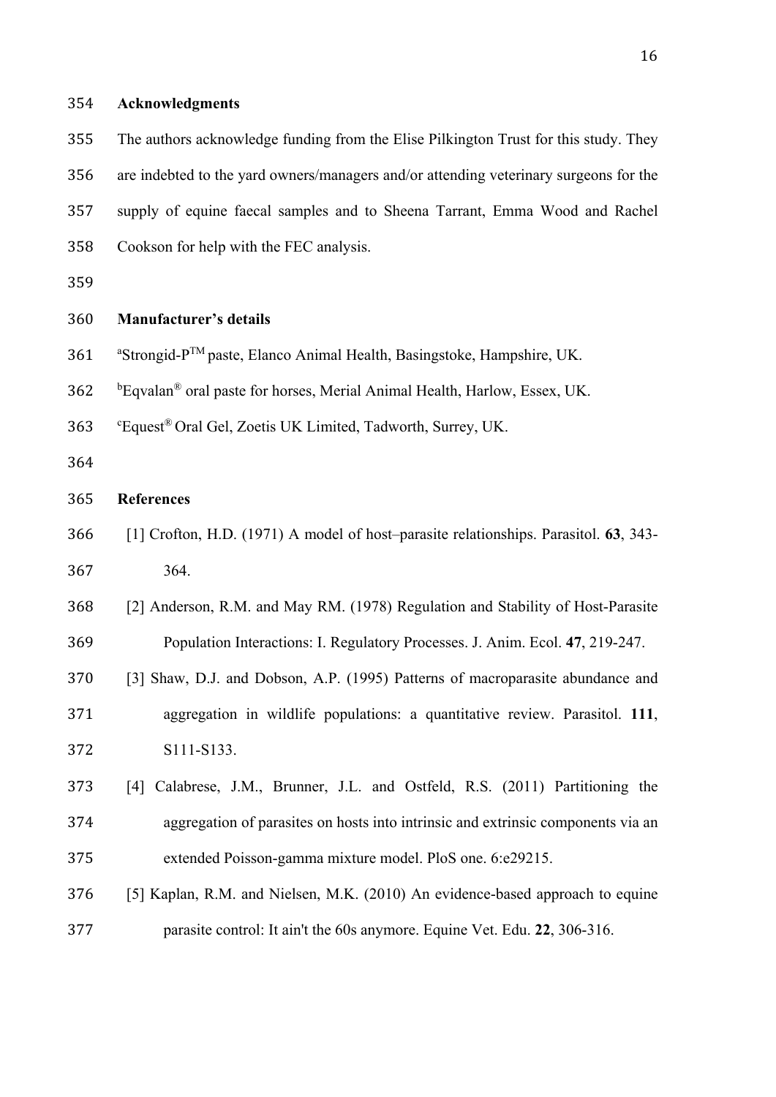## **Acknowledgments**

 The authors acknowledge funding from the Elise Pilkington Trust for this study. They are indebted to the yard owners/managers and/or attending veterinary surgeons for the supply of equine faecal samples and to Sheena Tarrant, Emma Wood and Rachel Cookson for help with the FEC analysis.

### **Manufacturer's details**

- 361 Strongid-P<sup>TM</sup> paste, Elanco Animal Health, Basingstoke, Hampshire, UK.
- 362 bEqvalan® oral paste for horses, Merial Animal Health, Harlow, Essex, UK.
- c Equest® Oral Gel, Zoetis UK Limited, Tadworth, Surrey, UK.
- 

## **References**

- [1] Crofton, H.D. (1971) A model of host–parasite relationships. Parasitol. **63**, 343- 364.
- [2] Anderson, R.M. and May RM. (1978) Regulation and Stability of Host-Parasite Population Interactions: I. Regulatory Processes. J. Anim. Ecol. **47**, 219-247.
- [3] Shaw, D.J. and Dobson, A.P. (1995) Patterns of macroparasite abundance and aggregation in wildlife populations: a quantitative review. Parasitol. **111**, S111-S133.
- [4] Calabrese, J.M., Brunner, J.L. and Ostfeld, R.S. (2011) Partitioning the aggregation of parasites on hosts into intrinsic and extrinsic components via an 375 extended Poisson-gamma mixture model. PloS one. 6:e29215.
- [5] Kaplan, R.M. and Nielsen, M.K. (2010) An evidence-based approach to equine parasite control: It ain't the 60s anymore. Equine Vet. Edu. **22**, 306-316.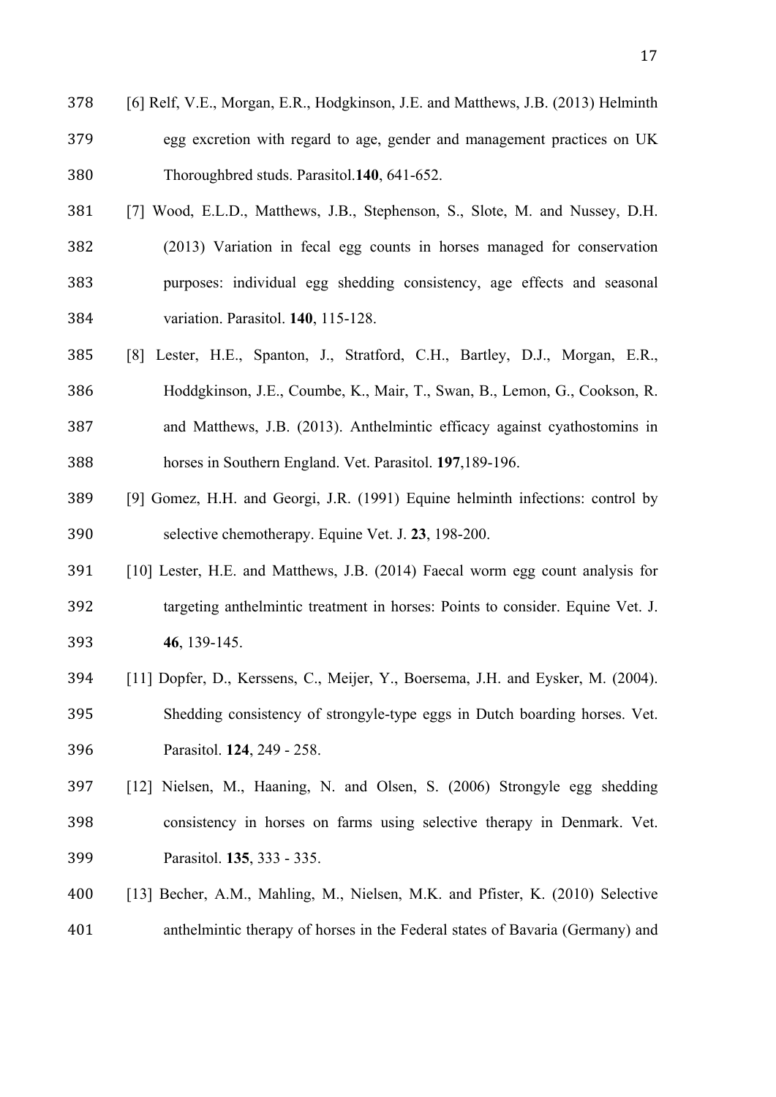- [6] Relf, V.E., Morgan, E.R., Hodgkinson, J.E. and Matthews, J.B. (2013) Helminth 379 egg excretion with regard to age, gender and management practices on UK Thoroughbred studs. Parasitol.**140**, 641-652.
- [7] Wood, E.L.D., Matthews, J.B., Stephenson, S., Slote, M. and Nussey, D.H. (2013) Variation in fecal egg counts in horses managed for conservation purposes: individual egg shedding consistency, age effects and seasonal variation. Parasitol. **140**, 115-128.
- [8] Lester, H.E., Spanton, J., Stratford, C.H., Bartley, D.J., Morgan, E.R., Hoddgkinson, J.E., Coumbe, K., Mair, T., Swan, B., Lemon, G., Cookson, R. and Matthews, J.B. (2013). Anthelmintic efficacy against cyathostomins in horses in Southern England. Vet. Parasitol. **197**,189-196.
- [9] Gomez, H.H. and Georgi, J.R. (1991) Equine helminth infections: control by selective chemotherapy. Equine Vet. J. **23**, 198-200.
- [10] Lester, H.E. and Matthews, J.B. (2014) Faecal worm egg count analysis for targeting anthelmintic treatment in horses: Points to consider. Equine Vet. J. **46**, 139-145.
- [11] Dopfer, D., Kerssens, C., Meijer, Y., Boersema, J.H. and Eysker, M. (2004). 395 Shedding consistency of strongyle-type eggs in Dutch boarding horses. Vet. Parasitol. **124**, 249 - 258.
- [12] Nielsen, M., Haaning, N. and Olsen, S. (2006) Strongyle egg shedding consistency in horses on farms using selective therapy in Denmark. Vet. Parasitol. **135**, 333 - 335.
- [13] Becher, A.M., Mahling, M., Nielsen, M.K. and Pfister, K. (2010) Selective anthelmintic therapy of horses in the Federal states of Bavaria (Germany) and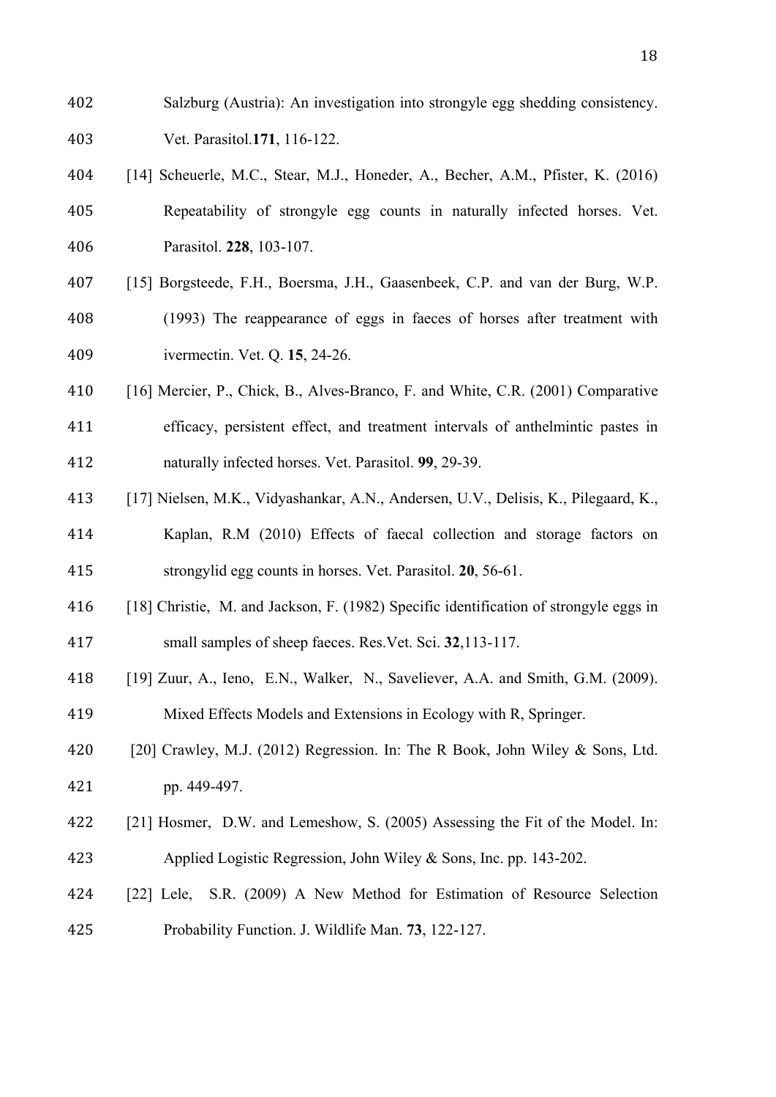- Salzburg (Austria): An investigation into strongyle egg shedding consistency. Vet. Parasitol.**171**, 116-122.
- [14] Scheuerle, M.C., Stear, M.J., Honeder, A., Becher, A.M., Pfister, K. (2016) Repeatability of strongyle egg counts in naturally infected horses. Vet. Parasitol. **228**, 103-107.
- [15] Borgsteede, F.H., Boersma, J.H., Gaasenbeek, C.P. and van der Burg, W.P. (1993) The reappearance of eggs in faeces of horses after treatment with ivermectin. Vet. Q. **15**, 24-26.
- 410 [16] Mercier, P., Chick, B., Alves-Branco, F. and White, C.R. (2001) Comparative 411 efficacy, persistent effect, and treatment intervals of anthelmintic pastes in naturally infected horses. Vet. Parasitol. **99**, 29-39.
- [17] Nielsen, M.K., Vidyashankar, A.N., Andersen, U.V., Delisis, K., Pilegaard, K.,
- Kaplan, R.M (2010) Effects of faecal collection and storage factors on strongylid egg counts in horses. Vet. Parasitol. **20**, 56-61.
- 416 [18] Christie, M. and Jackson, F. (1982) Specific identification of strongyle eggs in small samples of sheep faeces. Res.Vet. Sci. **32**,113-117.
- [19] Zuur, A., Ieno, E.N., Walker, N., Saveliever, A.A. and Smith, G.M. (2009). 419 Mixed Effects Models and Extensions in Ecology with R, Springer.
- [20] Crawley, M.J. (2012) Regression. In: The R Book, John Wiley & Sons, Ltd. pp. 449-497.
- 422 [21] Hosmer, D.W. and Lemeshow, S. (2005) Assessing the Fit of the Model. In: 423 Applied Logistic Regression, John Wiley & Sons, Inc. pp. 143-202.
- [22] Lele, S.R. (2009) A New Method for Estimation of Resource Selection Probability Function. J. Wildlife Man. **73**, 122-127.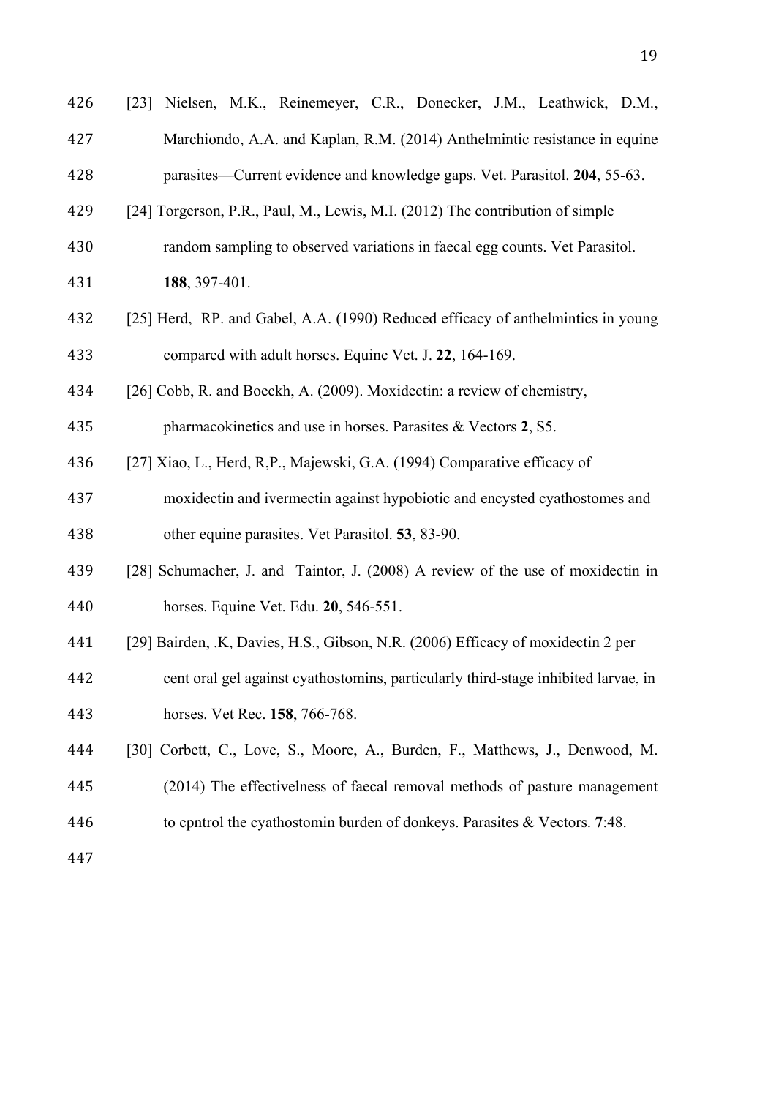| 426 | [23] Nielsen, M.K., Reinemeyer, C.R., Donecker, J.M., Leathwick, D.M.,             |  |  |  |  |  |
|-----|------------------------------------------------------------------------------------|--|--|--|--|--|
| 427 | Marchiondo, A.A. and Kaplan, R.M. (2014) Anthelmintic resistance in equine         |  |  |  |  |  |
| 428 | parasites—Current evidence and knowledge gaps. Vet. Parasitol. 204, 55-63.         |  |  |  |  |  |
| 429 | [24] Torgerson, P.R., Paul, M., Lewis, M.I. (2012) The contribution of simple      |  |  |  |  |  |
| 430 | random sampling to observed variations in faecal egg counts. Vet Parasitol.        |  |  |  |  |  |
| 431 | 188, 397-401.                                                                      |  |  |  |  |  |
| 432 | [25] Herd, RP. and Gabel, A.A. (1990) Reduced efficacy of anthelmintics in young   |  |  |  |  |  |
| 433 | compared with adult horses. Equine Vet. J. 22, 164-169.                            |  |  |  |  |  |
| 434 | [26] Cobb, R. and Boeckh, A. (2009). Moxidectin: a review of chemistry,            |  |  |  |  |  |
| 435 | pharmacokinetics and use in horses. Parasites & Vectors 2, S5.                     |  |  |  |  |  |
| 436 | [27] Xiao, L., Herd, R,P., Majewski, G.A. (1994) Comparative efficacy of           |  |  |  |  |  |
| 437 | moxidectin and ivermectin against hypobiotic and encysted cyathostomes and         |  |  |  |  |  |
| 438 | other equine parasites. Vet Parasitol. 53, 83-90.                                  |  |  |  |  |  |
| 439 | [28] Schumacher, J. and Taintor, J. (2008) A review of the use of moxidectin in    |  |  |  |  |  |
| 440 | horses. Equine Vet. Edu. 20, 546-551.                                              |  |  |  |  |  |
| 441 | [29] Bairden, .K, Davies, H.S., Gibson, N.R. (2006) Efficacy of moxidectin 2 per   |  |  |  |  |  |
| 442 | cent oral gel against cyathostomins, particularly third-stage inhibited larvae, in |  |  |  |  |  |
| 443 | horses. Vet Rec. 158, 766-768.                                                     |  |  |  |  |  |
| 444 | [30] Corbett, C., Love, S., Moore, A., Burden, F., Matthews, J., Denwood, M.       |  |  |  |  |  |
| 445 | (2014) The effectivelness of faecal removal methods of pasture management          |  |  |  |  |  |
| 446 | to cpntrol the cyathostomin burden of donkeys. Parasites & Vectors. 7:48.          |  |  |  |  |  |
| 447 |                                                                                    |  |  |  |  |  |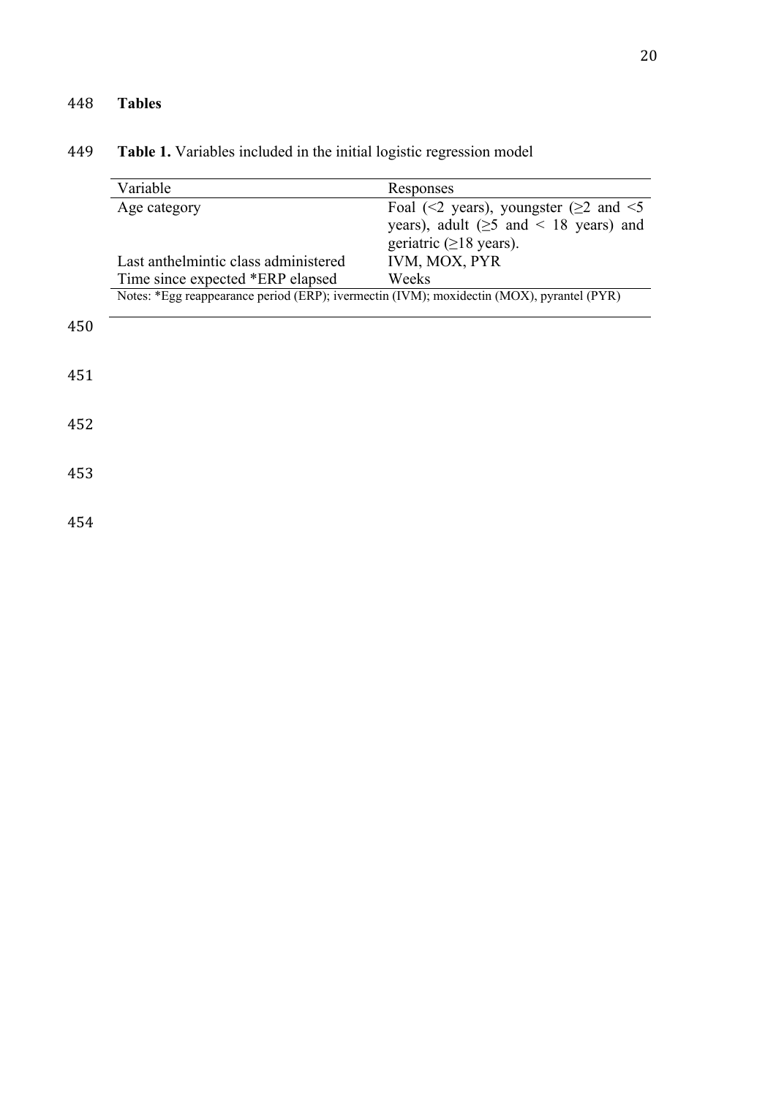# 448 **Tables**

## 449 **Table 1.** Variables included in the initial logistic regression model

|     | Variable                                                                                  | Responses<br>Foal (<2 years), youngster ( $\geq$ 2 and <5 |  |  |  |  |  |
|-----|-------------------------------------------------------------------------------------------|-----------------------------------------------------------|--|--|--|--|--|
|     | Age category                                                                              |                                                           |  |  |  |  |  |
|     |                                                                                           | years), adult ( $\geq$ 5 and < 18 years) and              |  |  |  |  |  |
|     |                                                                                           | geriatric $(\geq 18$ years).                              |  |  |  |  |  |
|     | Last anthelmintic class administered                                                      | IVM, MOX, PYR                                             |  |  |  |  |  |
|     | Time since expected *ERP elapsed                                                          | Weeks                                                     |  |  |  |  |  |
|     | Notes: *Egg reappearance period (ERP); ivermectin (IVM); moxidectin (MOX), pyrantel (PYR) |                                                           |  |  |  |  |  |
|     |                                                                                           |                                                           |  |  |  |  |  |
| 450 |                                                                                           |                                                           |  |  |  |  |  |
|     |                                                                                           |                                                           |  |  |  |  |  |
| 451 |                                                                                           |                                                           |  |  |  |  |  |
|     |                                                                                           |                                                           |  |  |  |  |  |
|     |                                                                                           |                                                           |  |  |  |  |  |
| 452 |                                                                                           |                                                           |  |  |  |  |  |
|     |                                                                                           |                                                           |  |  |  |  |  |
| 453 |                                                                                           |                                                           |  |  |  |  |  |
|     |                                                                                           |                                                           |  |  |  |  |  |
|     |                                                                                           |                                                           |  |  |  |  |  |
| 454 |                                                                                           |                                                           |  |  |  |  |  |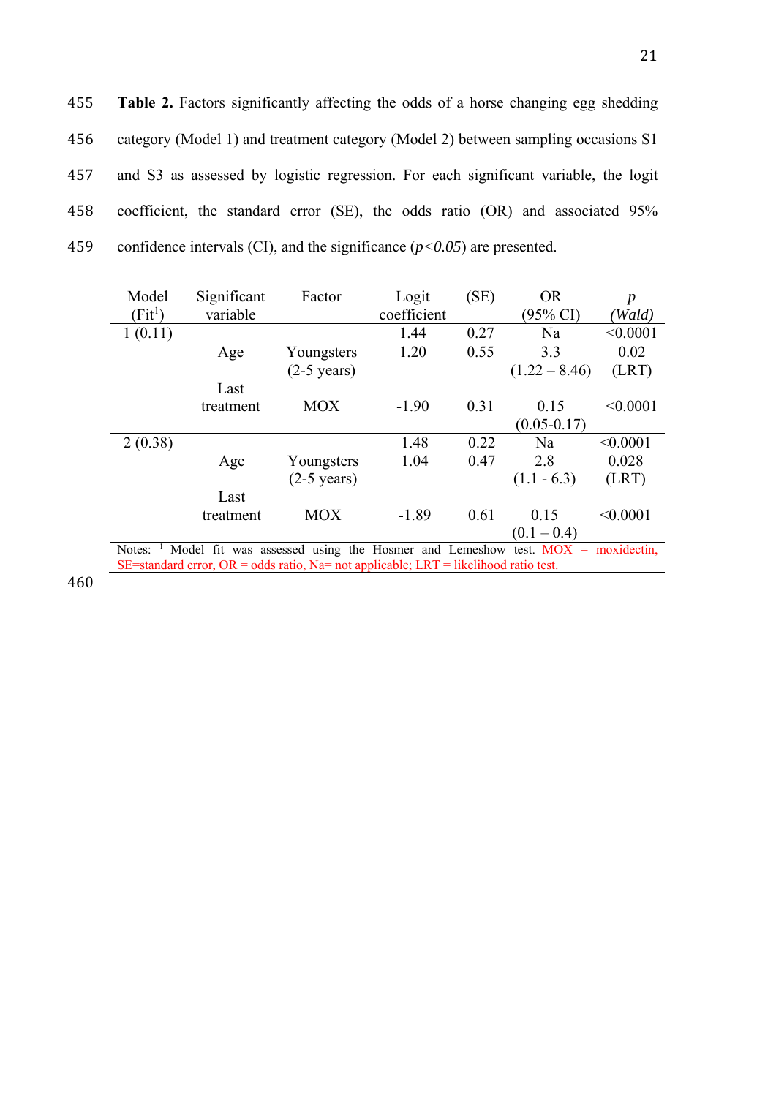455 **Table 2.** Factors significantly affecting the odds of a horse changing egg shedding 456 category (Model 1) and treatment category (Model 2) between sampling occasions S1 457 and S3 as assessed by logistic regression. For each significant variable, the logit 458 coefficient, the standard error (SE), the odds ratio (OR) and associated 95% 459 confidence intervals (CI), and the significance  $(p<0.05)$  are presented.

| Model                                                                                    | Significant | Factor                | Logit       | (SE) | <b>OR</b>       | $\boldsymbol{p}$ |  |  |
|------------------------------------------------------------------------------------------|-------------|-----------------------|-------------|------|-----------------|------------------|--|--|
| $(Fit^1)$                                                                                | variable    |                       | coefficient |      | (95% CI)        | (Wald)           |  |  |
| 1(0.11)                                                                                  |             |                       | 1.44        | 0.27 | Na              | < 0.0001         |  |  |
|                                                                                          | Age         | Youngsters            | 1.20        | 0.55 | 3.3             | 0.02             |  |  |
|                                                                                          |             | $(2-5 \text{ years})$ |             |      | $(1.22 - 8.46)$ | (LRT)            |  |  |
|                                                                                          | Last        |                       |             |      |                 |                  |  |  |
|                                                                                          | treatment   | <b>MOX</b>            | $-1.90$     | 0.31 | 0.15            | < 0.0001         |  |  |
|                                                                                          |             |                       |             |      | $(0.05 - 0.17)$ |                  |  |  |
| 2(0.38)                                                                                  |             |                       | 1.48        | 0.22 | Na              | < 0.0001         |  |  |
|                                                                                          | Age         | Youngsters            | 1.04        | 0.47 | 2.8             | 0.028            |  |  |
|                                                                                          |             | $(2-5 \text{ years})$ |             |      | $(1.1 - 6.3)$   | (LRT)            |  |  |
|                                                                                          | Last        |                       |             |      |                 |                  |  |  |
|                                                                                          | treatment   | <b>MOX</b>            | $-1.89$     | 0.61 | 0.15            | < 0.0001         |  |  |
|                                                                                          |             |                       |             |      | $(0.1 - 0.4)$   |                  |  |  |
| Model fit was assessed using the Hosmer and Lemeshow test. $MOX =$ moxidectin,<br>Notes: |             |                       |             |      |                 |                  |  |  |
| SE=standard error, OR = odds ratio, Na= not applicable; LRT = likelihood ratio test.     |             |                       |             |      |                 |                  |  |  |